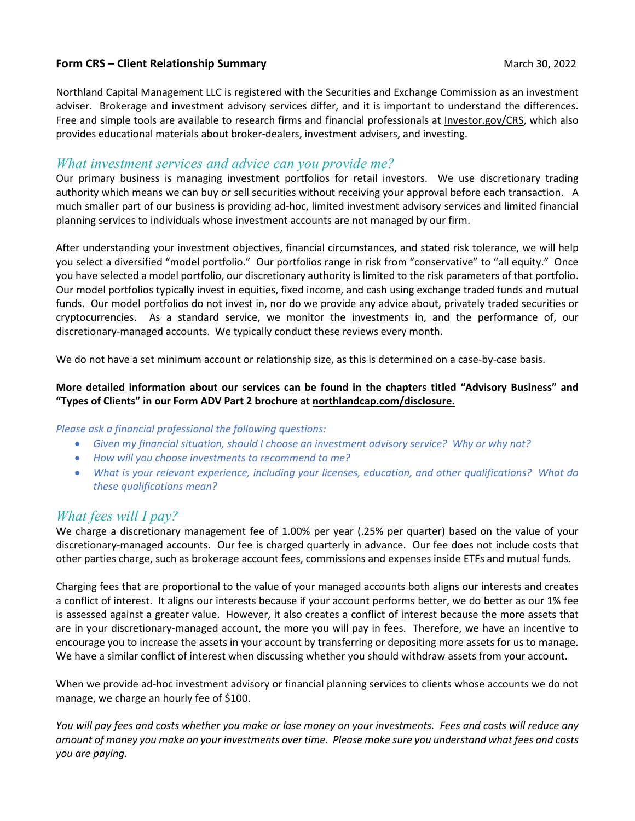### **Form CRS – Client Relationship Summary** March 30, 2022

Northland Capital Management LLC is registered with the Securities and Exchange Commission as an investment adviser. Brokerage and investment advisory services differ, and it is important to understand the differences. Free and simple tools are available to research firms and financial professionals at [Investor.gov/CRS,](https://www.investor.gov/CRS) which also provides educational materials about broker-dealers, investment advisers, and investing.

## *What investment services and advice can you provide me?*

Our primary business is managing investment portfolios for retail investors. We use discretionary trading authority which means we can buy or sell securities without receiving your approval before each transaction. A much smaller part of our business is providing ad-hoc, limited investment advisory services and limited financial planning services to individuals whose investment accounts are not managed by our firm.

After understanding your investment objectives, financial circumstances, and stated risk tolerance, we will help you select a diversified "model portfolio." Our portfolios range in risk from "conservative" to "all equity." Once you have selected a model portfolio, our discretionary authority is limited to the risk parameters of that portfolio. Our model portfolios typically invest in equities, fixed income, and cash using exchange traded funds and mutual funds. Our model portfolios do not invest in, nor do we provide any advice about, privately traded securities or cryptocurrencies. As a standard service, we monitor the investments in, and the performance of, our discretionary-managed accounts. We typically conduct these reviews every month.

We do not have a set minimum account or relationship size, as this is determined on a case-by-case basis.

### **More detailed information about our services can be found in the chapters titled "Advisory Business" and "Types of Clients" in our Form ADV Part 2 brochure at [northlandcap.com/disclosure.](https://www.northlandcap.com/disclosure/)**

#### *Please ask a financial professional the following questions:*

- *Given my financial situation, should I choose an investment advisory service? Why or why not?*
- *How will you choose investments to recommend to me?*
- *What is your relevant experience, including your licenses, education, and other qualifications? What do these qualifications mean?*

# *What fees will I pay?*

We charge a discretionary management fee of 1.00% per year (.25% per quarter) based on the value of your discretionary-managed accounts. Our fee is charged quarterly in advance. Our fee does not include costs that other parties charge, such as brokerage account fees, commissions and expenses inside ETFs and mutual funds.

Charging fees that are proportional to the value of your managed accounts both aligns our interests and creates a conflict of interest. It aligns our interests because if your account performs better, we do better as our 1% fee is assessed against a greater value. However, it also creates a conflict of interest because the more assets that are in your discretionary-managed account, the more you will pay in fees. Therefore, we have an incentive to encourage you to increase the assets in your account by transferring or depositing more assets for us to manage. We have a similar conflict of interest when discussing whether you should withdraw assets from your account.

When we provide ad-hoc investment advisory or financial planning services to clients whose accounts we do not manage, we charge an hourly fee of \$100.

*You will pay fees and costs whether you make or lose money on your investments. Fees and costs will reduce any amount of money you make on your investments over time. Please make sure you understand what fees and costs you are paying.*